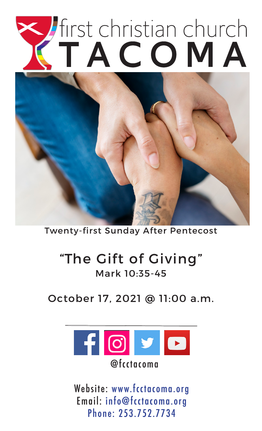

Twenty-first Sunday After Pentecost

# "The Gift of Giving" Mark 10:35-45

## October 17, 2021 @ 11:00 a.m.



Website: www.fcctacoma.org Email: info@fcctacoma.org Phone: 253.752.7734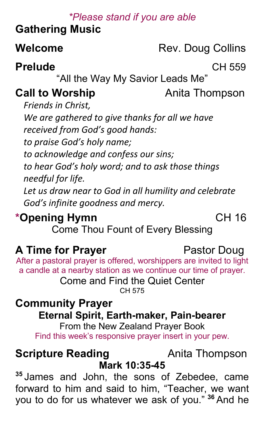#### *\*Please stand if you are able*

## **Gathering Music**

**Welcome** Rev. Doug Collins

## **Prelude** CH 559

"All the Way My Savior Leads Me"

## **Call to Worship Anita Thompson**

*Friends in Christ, We are gathered to give thanks for all we have received from God's good hands: to praise God's holy name; to acknowledge and confess our sins; to hear God's holy word; and to ask those things needful for life.*

*Let us draw near to God in all humility and celebrate God's infinite goodness and mercy.*

# **\*Opening Hymn** CH 16

Come Thou Fount of Every Blessing

# **A Time for Prayer** Pastor Doug

After a pastoral prayer is offered, worshippers are invited to light a candle at a nearby station as we continue our time of prayer. Come and Find the Quiet Center

CH 575

# **Community Prayer**

## **Eternal Spirit, Earth-maker, Pain-bearer**

From the New Zealand Prayer Book Find this week's responsive prayer insert in your pew.

#### **Scripture Reading Thompson Mark 10:35-45**

**<sup>35</sup>** James and John, the sons of Zebedee, came forward to him and said to him, "Teacher, we want you to do for us whatever we ask of you." **<sup>36</sup>** And he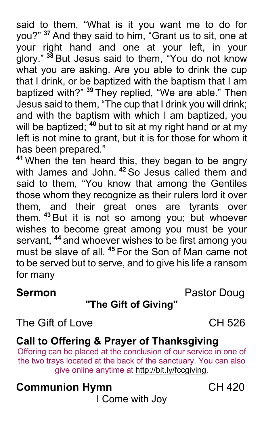said to them, "What is it you want me to do for you?" **<sup>37</sup>** And they said to him, "Grant us to sit, one at your right hand and one at your left, in your glory." **<sup>38</sup>** But Jesus said to them, "You do not know what you are asking. Are you able to drink the cup that I drink, or be baptized with the baptism that I am baptized with?" **<sup>39</sup>** They replied, "We are able." Then Jesus said to them, "The cup that I drink you will drink; and with the baptism with which I am baptized, you will be baptized; **<sup>40</sup>** but to sit at my right hand or at my left is not mine to grant, but it is for those for whom it has been prepared."

**<sup>41</sup>** When the ten heard this, they began to be angry with James and John. **<sup>42</sup>** So Jesus called them and said to them, "You know that among the Gentiles those whom they recognize as their rulers lord it over them, and their great ones are tyrants over them. **<sup>43</sup>** But it is not so among you; but whoever wishes to become great among you must be your servant, **<sup>44</sup>** and whoever wishes to be first among you must be slave of all. **<sup>45</sup>** For the Son of Man came not to be served but to serve, and to give his life a ransom for many

### **Sermon** Pastor Doug

## **"The Gift of Giving"**

The Gift of LoveCH 526

## **Call to Offering & Prayer of Thanksgiving**

Offering can be placed at the conclusion of our service in one of the two trays located at the back of the sanctuary. You can also give online anytime at http://bit.ly/fccgiving.

# **Communion Hymn** CH 420

I Come with Joy